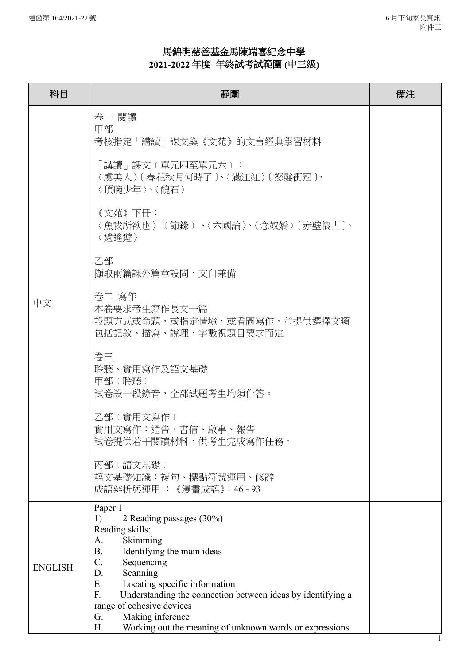## 馬錦明慈善基金馬陳端喜紀念中學 **2021-2022** 年度年終試考試範圍 **(**中三級**)**

| 科目             | 範圍                                                                                             | 備注 |
|----------------|------------------------------------------------------------------------------------------------|----|
| 中文             | 卷一 閱讀<br>甲部<br>考核指定「講讀」課文與《文苑》的文言經典學習材料                                                        |    |
|                | 「講讀」課文〔單元四至單元六〕:<br>〈虞美人〉〔春花秋月何時了〕、〈滿江紅〉〔怒髮衝冠〕、<br>〈頂碗少年〉、〈醜石〉                                 |    |
|                | 《文苑》下冊:<br>〈魚我所欲也〉〔節錄〕、〈六國論〉、〈念奴嬌〉〔赤壁懷古〕、<br>〈逍遙游〉                                             |    |
|                | 乙部<br>擷取兩篇課外篇章設問,文白兼備                                                                          |    |
|                | 卷二 寫作<br>本卷要求考生寫作長文一篇<br>設題方式或命題,或指定情境,或看圖寫作,並提供選擇文類<br>包括記敘、描寫、說理,字數視題目要求而定                   |    |
|                | 卷三<br>聆聽、實用寫作及語文基礎<br>甲部 (聆聽)<br>試卷設一段錄音,全部試題考生均須作答。                                           |    |
|                | 乙部〔實用文寫作〕<br>實用文寫作:通告、書信、啟事、報告<br>試卷提供若干閱讀材料,供考生完成寫作任務。                                        |    |
|                | 丙部 (語文基礎)<br>語文基礎知識:複句、標點符號運用、修辭<br>成語辨析與運用 : 《漫畫成語》:46 - 93                                   |    |
| <b>ENGLISH</b> | Paper 1<br>2 Reading passages (30%)<br>1)<br>Reading skills:                                   |    |
|                | Skimming<br>A.<br>Identifying the main ideas<br><b>B.</b>                                      |    |
|                | Sequencing<br>C.                                                                               |    |
|                | Scanning<br>D.<br>Locating specific information<br>Ε.                                          |    |
|                | F.<br>Understanding the connection between ideas by identifying a<br>range of cohesive devices |    |
|                | Making inference<br>G.                                                                         |    |
|                | Working out the meaning of unknown words or expressions<br>Н.                                  |    |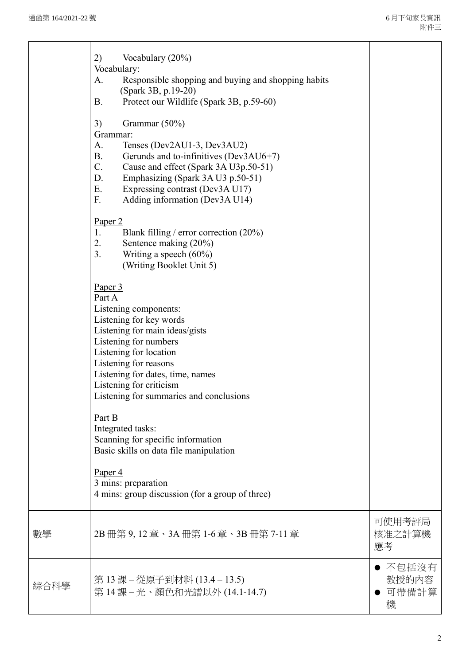|      | Vocabulary (20%)<br>2)<br>Vocabulary:<br>Responsible shopping and buying and shopping habits<br>A.<br>(Spark 3B, p.19-20)<br>Protect our Wildlife (Spark 3B, p.59-60)<br><b>B.</b><br>3)<br>Grammar (50%)<br>Grammar:<br>Tenses (Dev2AU1-3, Dev3AU2)<br>A.<br><b>B.</b><br>Gerunds and to-infinitives (Dev3AU6+7)<br>C.<br>Cause and effect (Spark 3A U3p.50-51)<br>D.<br>Emphasizing (Spark 3A U3 p.50-51) |                                |
|------|-------------------------------------------------------------------------------------------------------------------------------------------------------------------------------------------------------------------------------------------------------------------------------------------------------------------------------------------------------------------------------------------------------------|--------------------------------|
|      | E.<br>Expressing contrast (Dev3A U17)<br>F.<br>Adding information (Dev3A U14)<br>Paper <sub>2</sub><br>1.<br>Blank filling / error correction $(20\%)$                                                                                                                                                                                                                                                      |                                |
|      | 2.<br>Sentence making (20%)<br>3.<br>Writing a speech $(60\%)$<br>(Writing Booklet Unit 5)<br>Paper 3<br>Part A                                                                                                                                                                                                                                                                                             |                                |
|      | Listening components:<br>Listening for key words<br>Listening for main ideas/gists<br>Listening for numbers<br>Listening for location<br>Listening for reasons<br>Listening for dates, time, names<br>Listening for criticism<br>Listening for summaries and conclusions                                                                                                                                    |                                |
|      | Part B<br>Integrated tasks:<br>Scanning for specific information<br>Basic skills on data file manipulation<br>Paper <sub>4</sub>                                                                                                                                                                                                                                                                            |                                |
|      | 3 mins: preparation<br>4 mins: group discussion (for a group of three)                                                                                                                                                                                                                                                                                                                                      |                                |
| 數學   | 2B 冊第 9, 12 章、3A 冊第 1-6 章、3B 冊第 7-11 章                                                                                                                                                                                                                                                                                                                                                                      | 可使用考評局<br>核准之計算機<br>應考         |
| 綜合科學 | 第 13 課 – 從原子到材料 (13.4 – 13.5)<br>第14課-光、顏色和光譜以外(14.1-14.7)                                                                                                                                                                                                                                                                                                                                                  | ● 不包括沒有<br>教授的内容<br>可帶備計算<br>機 |